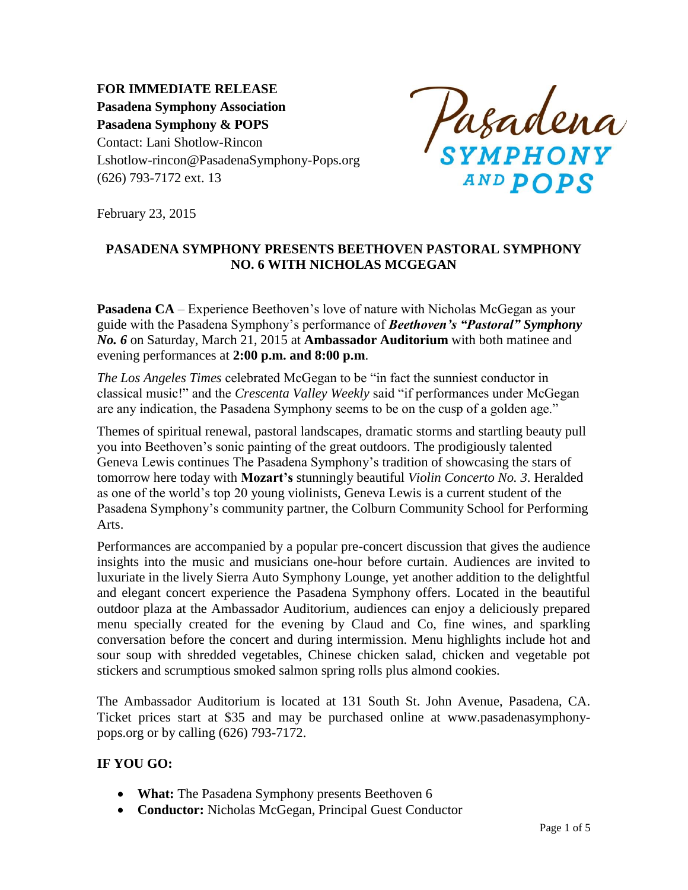**FOR IMMEDIATE RELEASE Pasadena Symphony Association Pasadena Symphony & POPS** Contact: Lani Shotlow-Rincon Lshotlow-rincon@PasadenaSymphony-Pops.org (626) 793-7172 ext. 13

Pasadena **AND POPS** 

February 23, 2015

## **PASADENA SYMPHONY PRESENTS BEETHOVEN PASTORAL SYMPHONY NO. 6 WITH NICHOLAS MCGEGAN**

**Pasadena CA** – Experience Beethoven's love of nature with Nicholas McGegan as your guide with the Pasadena Symphony's performance of *Beethoven's "Pastoral" Symphony No. 6* on Saturday, March 21, 2015 at **Ambassador Auditorium** with both matinee and evening performances at **2:00 p.m. and 8:00 p.m**.

*The Los Angeles Times* celebrated McGegan to be "in fact the sunniest conductor in classical music!" and the *Crescenta Valley Weekly* said "if performances under McGegan are any indication, the Pasadena Symphony seems to be on the cusp of a golden age."

Themes of spiritual renewal, pastoral landscapes, dramatic storms and startling beauty pull you into Beethoven's sonic painting of the great outdoors. The prodigiously talented Geneva Lewis continues The Pasadena Symphony's tradition of showcasing the stars of tomorrow here today with **Mozart's** stunningly beautiful *Violin Concerto No. 3*. Heralded as one of the world's top 20 young violinists, Geneva Lewis is a current student of the Pasadena Symphony's community partner, the Colburn Community School for Performing Arts.

Performances are accompanied by a popular pre-concert discussion that gives the audience insights into the music and musicians one-hour before curtain. Audiences are invited to luxuriate in the lively Sierra Auto Symphony Lounge, yet another addition to the delightful and elegant concert experience the Pasadena Symphony offers. Located in the beautiful outdoor plaza at the Ambassador Auditorium, audiences can enjoy a deliciously prepared menu specially created for the evening by Claud and Co, fine wines, and sparkling conversation before the concert and during intermission. Menu highlights include hot and sour soup with shredded vegetables, Chinese chicken salad, chicken and vegetable pot stickers and scrumptious smoked salmon spring rolls plus almond cookies.

The Ambassador Auditorium is located at 131 South St. John Avenue, Pasadena, CA. Ticket prices start at \$35 and may be purchased online at www.pasadenasymphonypops.org or by calling (626) 793-7172.

## **IF YOU GO:**

- **What:** The Pasadena Symphony presents Beethoven 6
- **Conductor:** Nicholas McGegan, Principal Guest Conductor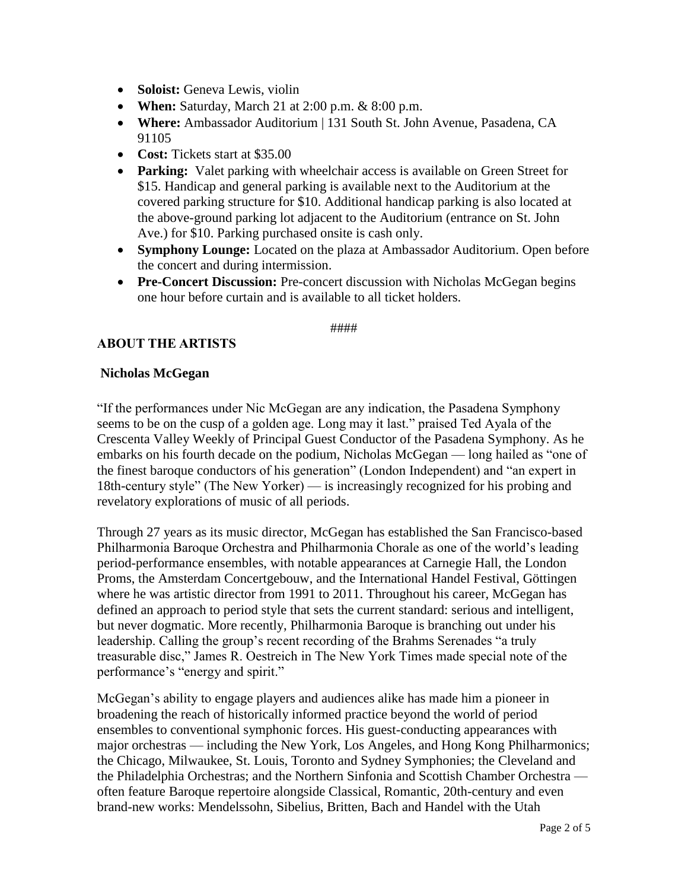- **Soloist:** Geneva Lewis, violin
- **When:** Saturday, March 21 at 2:00 p.m. & 8:00 p.m.
- **Where:** Ambassador Auditorium | 131 South St. John Avenue, Pasadena, CA 91105
- **Cost:** Tickets start at \$35.00
- **Parking:** Valet parking with wheelchair access is available on Green Street for \$15. Handicap and general parking is available next to the Auditorium at the covered parking structure for \$10. Additional handicap parking is also located at the above-ground parking lot adjacent to the Auditorium (entrance on St. John Ave.) for \$10. Parking purchased onsite is cash only.
- **Symphony Lounge:** Located on the plaza at Ambassador Auditorium. Open before the concert and during intermission.
- **Pre-Concert Discussion:** Pre-concert discussion with Nicholas McGegan begins one hour before curtain and is available to all ticket holders.

#### ####

## **ABOUT THE ARTISTS**

#### **Nicholas McGegan**

"If the performances under Nic McGegan are any indication, the Pasadena Symphony seems to be on the cusp of a golden age. Long may it last." praised Ted Ayala of the Crescenta Valley Weekly of Principal Guest Conductor of the Pasadena Symphony. As he embarks on his fourth decade on the podium, Nicholas McGegan — long hailed as "one of the finest baroque conductors of his generation" (London Independent) and "an expert in 18th-century style" (The New Yorker) — is increasingly recognized for his probing and revelatory explorations of music of all periods.

Through 27 years as its music director, McGegan has established the San Francisco-based Philharmonia Baroque Orchestra and Philharmonia Chorale as one of the world's leading period-performance ensembles, with notable appearances at Carnegie Hall, the London Proms, the Amsterdam Concertgebouw, and the International Handel Festival, Göttingen where he was artistic director from 1991 to 2011. Throughout his career, McGegan has defined an approach to period style that sets the current standard: serious and intelligent, but never dogmatic. More recently, Philharmonia Baroque is branching out under his leadership. Calling the group's recent recording of the Brahms Serenades "a truly treasurable disc," James R. Oestreich in The New York Times made special note of the performance's "energy and spirit."

McGegan's ability to engage players and audiences alike has made him a pioneer in broadening the reach of historically informed practice beyond the world of period ensembles to conventional symphonic forces. His guest-conducting appearances with major orchestras — including the New York, Los Angeles, and Hong Kong Philharmonics; the Chicago, Milwaukee, St. Louis, Toronto and Sydney Symphonies; the Cleveland and the Philadelphia Orchestras; and the Northern Sinfonia and Scottish Chamber Orchestra often feature Baroque repertoire alongside Classical, Romantic, 20th-century and even brand-new works: Mendelssohn, Sibelius, Britten, Bach and Handel with the Utah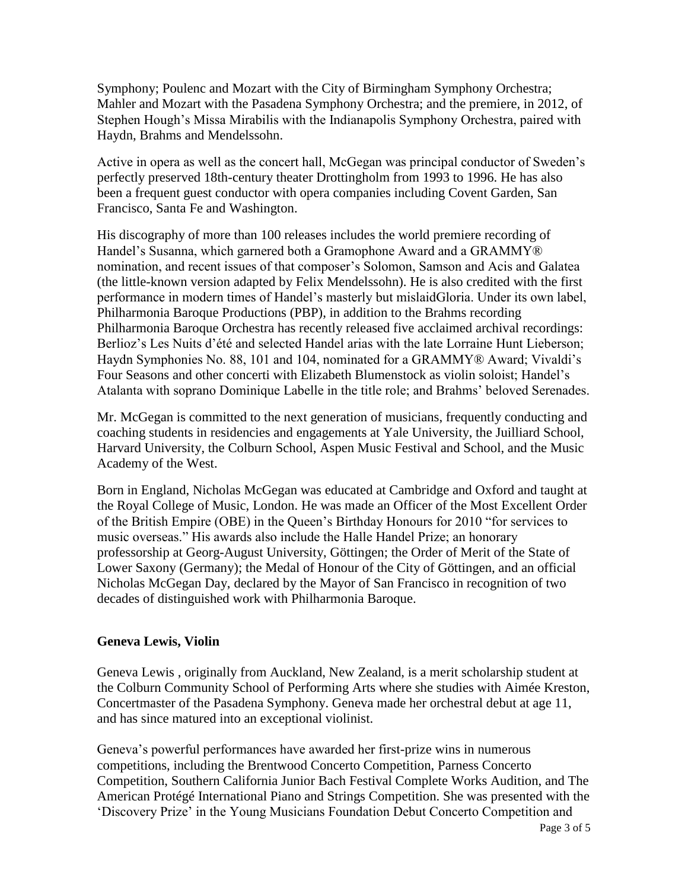Symphony; Poulenc and Mozart with the City of Birmingham Symphony Orchestra; Mahler and Mozart with the Pasadena Symphony Orchestra; and the premiere, in 2012, of Stephen Hough's Missa Mirabilis with the Indianapolis Symphony Orchestra, paired with Haydn, Brahms and Mendelssohn.

Active in opera as well as the concert hall, McGegan was principal conductor of Sweden's perfectly preserved 18th-century theater Drottingholm from 1993 to 1996. He has also been a frequent guest conductor with opera companies including Covent Garden, San Francisco, Santa Fe and Washington.

His discography of more than 100 releases includes the world premiere recording of Handel's Susanna, which garnered both a Gramophone Award and a GRAMMY® nomination, and recent issues of that composer's Solomon, Samson and Acis and Galatea (the little-known version adapted by Felix Mendelssohn). He is also credited with the first performance in modern times of Handel's masterly but mislaidGloria. Under its own label, Philharmonia Baroque Productions (PBP), in addition to the Brahms recording Philharmonia Baroque Orchestra has recently released five acclaimed archival recordings: Berlioz's Les Nuits d'été and selected Handel arias with the late Lorraine Hunt Lieberson; Haydn Symphonies No. 88, 101 and 104, nominated for a GRAMMY® Award; Vivaldi's Four Seasons and other concerti with Elizabeth Blumenstock as violin soloist; Handel's Atalanta with soprano Dominique Labelle in the title role; and Brahms' beloved Serenades.

Mr. McGegan is committed to the next generation of musicians, frequently conducting and coaching students in residencies and engagements at Yale University, the Juilliard School, Harvard University, the Colburn School, Aspen Music Festival and School, and the Music Academy of the West.

Born in England, Nicholas McGegan was educated at Cambridge and Oxford and taught at the Royal College of Music, London. He was made an Officer of the Most Excellent Order of the British Empire (OBE) in the Queen's Birthday Honours for 2010 "for services to music overseas." His awards also include the Halle Handel Prize; an honorary professorship at Georg-August University, Göttingen; the Order of Merit of the State of Lower Saxony (Germany); the Medal of Honour of the City of Göttingen, and an official Nicholas McGegan Day, declared by the Mayor of San Francisco in recognition of two decades of distinguished work with Philharmonia Baroque.

## **Geneva Lewis, Violin**

Geneva Lewis , originally from Auckland, New Zealand, is a merit scholarship student at the Colburn Community School of Performing Arts where she studies with Aimée Kreston, Concertmaster of the Pasadena Symphony. Geneva made her orchestral debut at age 11, and has since matured into an exceptional violinist.

Geneva's powerful performances have awarded her first-prize wins in numerous competitions, including the Brentwood Concerto Competition, Parness Concerto Competition, Southern California Junior Bach Festival Complete Works Audition, and The American Protégé International Piano and Strings Competition. She was presented with the 'Discovery Prize' in the Young Musicians Foundation Debut Concerto Competition and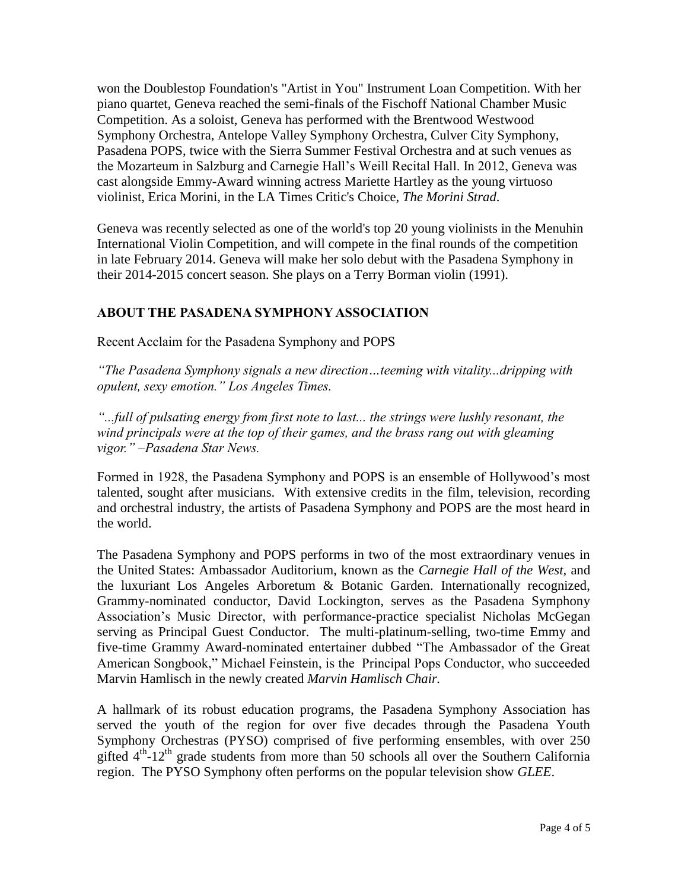won the Doublestop Foundation's "Artist in You" Instrument Loan Competition. With her piano quartet, Geneva reached the semi-finals of the Fischoff National Chamber Music Competition. As a soloist, Geneva has performed with the Brentwood Westwood Symphony Orchestra, Antelope Valley Symphony Orchestra, Culver City Symphony, Pasadena POPS, twice with the Sierra Summer Festival Orchestra and at such venues as the Mozarteum in Salzburg and Carnegie Hall's Weill Recital Hall. In 2012, Geneva was cast alongside Emmy-Award winning actress Mariette Hartley as the young virtuoso violinist, Erica Morini, in the LA Times Critic's Choice, *The Morini Strad*.

Geneva was recently selected as one of the world's top 20 young violinists in the Menuhin International Violin Competition, and will compete in the final rounds of the competition in late February 2014. Geneva will make her solo debut with the Pasadena Symphony in their 2014-2015 concert season. She plays on a Terry Borman violin (1991).

# **ABOUT THE PASADENA SYMPHONY ASSOCIATION**

Recent Acclaim for the Pasadena Symphony and POPS

*"The Pasadena Symphony signals a new direction…teeming with vitality...dripping with opulent, sexy emotion." Los Angeles Times.* 

*"...full of pulsating energy from first note to last... the strings were lushly resonant, the wind principals were at the top of their games, and the brass rang out with gleaming vigor." –Pasadena Star News.*

Formed in 1928, the Pasadena Symphony and POPS is an ensemble of Hollywood's most talented, sought after musicians. With extensive credits in the film, television, recording and orchestral industry, the artists of Pasadena Symphony and POPS are the most heard in the world.

The Pasadena Symphony and POPS performs in two of the most extraordinary venues in the United States: Ambassador Auditorium, known as the *Carnegie Hall of the West,* and the luxuriant Los Angeles Arboretum & Botanic Garden. Internationally recognized, Grammy-nominated conductor, David Lockington, serves as the Pasadena Symphony Association's Music Director, with performance-practice specialist Nicholas McGegan serving as Principal Guest Conductor. The multi-platinum-selling, two-time Emmy and five-time Grammy Award-nominated entertainer dubbed "The Ambassador of the Great American Songbook," Michael Feinstein, is the Principal Pops Conductor, who succeeded Marvin Hamlisch in the newly created *Marvin Hamlisch Chair.*

A hallmark of its robust education programs, the Pasadena Symphony Association has served the youth of the region for over five decades through the Pasadena Youth Symphony Orchestras (PYSO) comprised of five performing ensembles, with over 250 gifted  $4<sup>th</sup>$ -12<sup>th</sup> grade students from more than 50 schools all over the Southern California region. The PYSO Symphony often performs on the popular television show *GLEE*.